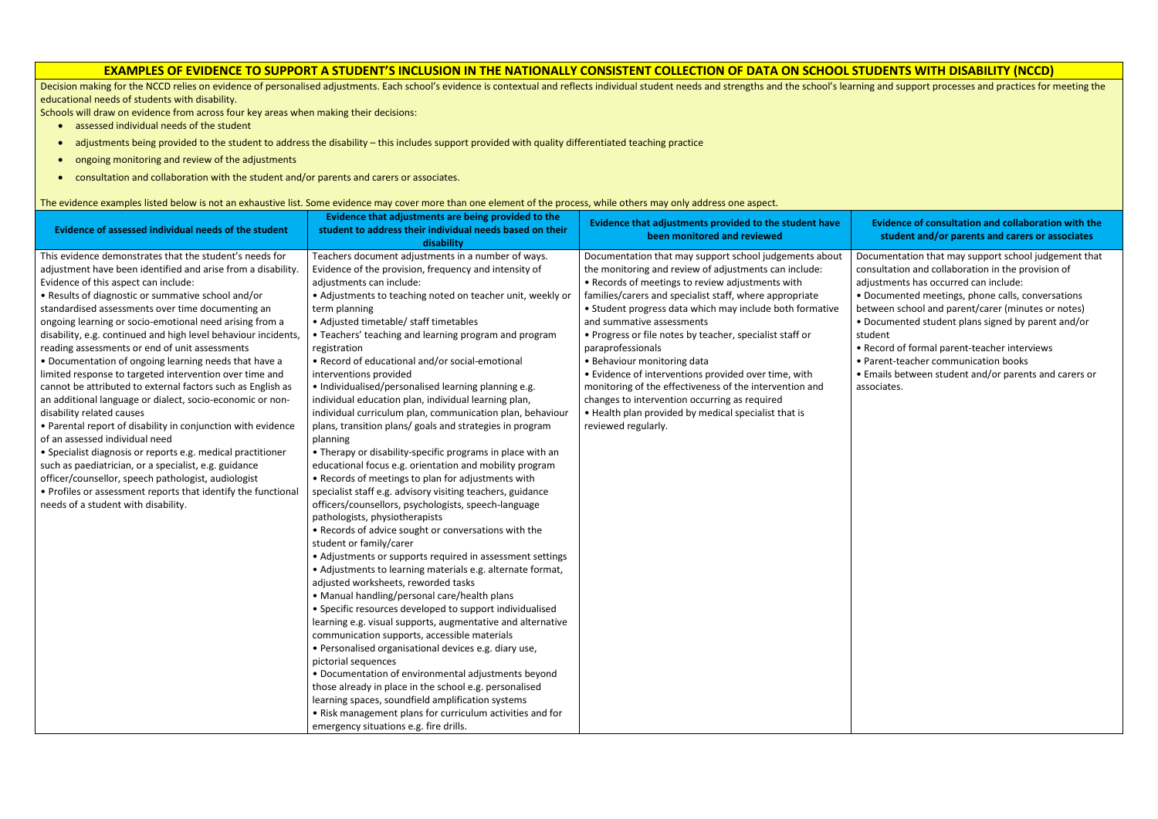## **EXAMPLES OF EVIDENCE TO SUPPORT A STUDENT'S INCLUSION IN THE NATIONALLY CONSISTENT COLLECTION OF DATA ON SCHOOL STUDENTS WITH DISABILITY (NCCD)**

Decision making for the NCCD relies on evidence of personalised adjustments. Each school's evidence is contextual and reflects individual student needs and strengths and the school's learning and support processes and prac educational needs of students with disability.

Schools will draw on evidence from across four key areas when making their decisions:

- assessed individual needs of the student
- adjustments being provided to the student to address the disability this includes support provided with quality differentiated teaching practice
- ongoing monitoring and review of the adjustments
- consultation and collaboration with the student and/or parents and carers or associates.

**Evidence of consultation and collaboration with the student and/or parents and carers or associates**

- amentation that may support school judgement that ultation and collaboration in the provision of stments has occurred can include:
- cumented meetings, phone calls, conversations
- veen school and parent/carer (minutes or notes) cumented student plans signed by parent and/or
- cord of formal parent-teacher interviews
- rent-teacher communication books
- ails between student and/or parents and carers or ciates.

| Evidence of assessed individual needs of the student                                                                                                                                                                                                                                                                                                                                                                                                                                                                                                                                                                                                                                                                                                                                                                                                                                                                                                                                                                                                                                                                            | Evidence that adjustments are being provided to the<br>student to address their individual needs based on their<br>disability                                                                                                                                                                                                                                                                                                                                                                                                                                                                                                                                                                                                                                                                                                                                                                                                                                                                                                                                                                                                                                                                                                                                                                                                                                                                                                                                                                                                                                                                                                                                                                                                                                                                                                                                   | Evidence that adjustments provided to the student have<br>been monitored and reviewed                                                                                                                                                                                                                                                                                                                                                                                                                                                                                                                                                                                                      | <b>Evid</b><br>stu                                                                                                         |
|---------------------------------------------------------------------------------------------------------------------------------------------------------------------------------------------------------------------------------------------------------------------------------------------------------------------------------------------------------------------------------------------------------------------------------------------------------------------------------------------------------------------------------------------------------------------------------------------------------------------------------------------------------------------------------------------------------------------------------------------------------------------------------------------------------------------------------------------------------------------------------------------------------------------------------------------------------------------------------------------------------------------------------------------------------------------------------------------------------------------------------|-----------------------------------------------------------------------------------------------------------------------------------------------------------------------------------------------------------------------------------------------------------------------------------------------------------------------------------------------------------------------------------------------------------------------------------------------------------------------------------------------------------------------------------------------------------------------------------------------------------------------------------------------------------------------------------------------------------------------------------------------------------------------------------------------------------------------------------------------------------------------------------------------------------------------------------------------------------------------------------------------------------------------------------------------------------------------------------------------------------------------------------------------------------------------------------------------------------------------------------------------------------------------------------------------------------------------------------------------------------------------------------------------------------------------------------------------------------------------------------------------------------------------------------------------------------------------------------------------------------------------------------------------------------------------------------------------------------------------------------------------------------------------------------------------------------------------------------------------------------------|--------------------------------------------------------------------------------------------------------------------------------------------------------------------------------------------------------------------------------------------------------------------------------------------------------------------------------------------------------------------------------------------------------------------------------------------------------------------------------------------------------------------------------------------------------------------------------------------------------------------------------------------------------------------------------------------|----------------------------------------------------------------------------------------------------------------------------|
| This evidence demonstrates that the student's needs for<br>adjustment have been identified and arise from a disability.<br>Evidence of this aspect can include:<br>• Results of diagnostic or summative school and/or<br>standardised assessments over time documenting an<br>ongoing learning or socio-emotional need arising from a<br>disability, e.g. continued and high level behaviour incidents,<br>reading assessments or end of unit assessments<br>• Documentation of ongoing learning needs that have a<br>limited response to targeted intervention over time and<br>cannot be attributed to external factors such as English as<br>an additional language or dialect, socio-economic or non-<br>disability related causes<br>• Parental report of disability in conjunction with evidence<br>of an assessed individual need<br>• Specialist diagnosis or reports e.g. medical practitioner<br>such as paediatrician, or a specialist, e.g. guidance<br>officer/counsellor, speech pathologist, audiologist<br>• Profiles or assessment reports that identify the functional<br>needs of a student with disability. | Teachers document adjustments in a number of ways.<br>Evidence of the provision, frequency and intensity of<br>adjustments can include:<br>• Adjustments to teaching noted on teacher unit, weekly or<br>term planning<br>• Adjusted timetable/ staff timetables<br>• Teachers' teaching and learning program and program<br>registration<br>• Record of educational and/or social-emotional<br>interventions provided<br>• Individualised/personalised learning planning e.g.<br>individual education plan, individual learning plan,<br>individual curriculum plan, communication plan, behaviour<br>plans, transition plans/ goals and strategies in program<br>planning<br>• Therapy or disability-specific programs in place with an<br>educational focus e.g. orientation and mobility program<br>• Records of meetings to plan for adjustments with<br>specialist staff e.g. advisory visiting teachers, guidance<br>officers/counsellors, psychologists, speech-language<br>pathologists, physiotherapists<br>• Records of advice sought or conversations with the<br>student or family/carer<br>• Adjustments or supports required in assessment settings<br>• Adjustments to learning materials e.g. alternate format,<br>adjusted worksheets, reworded tasks<br>• Manual handling/personal care/health plans<br>• Specific resources developed to support individualised<br>learning e.g. visual supports, augmentative and alternative<br>communication supports, accessible materials<br>· Personalised organisational devices e.g. diary use,<br>pictorial sequences<br>• Documentation of environmental adjustments beyond<br>those already in place in the school e.g. personalised<br>learning spaces, soundfield amplification systems<br>• Risk management plans for curriculum activities and for<br>emergency situations e.g. fire drills. | Documentation that may support school judgements about<br>the monitoring and review of adjustments can include:<br>• Records of meetings to review adjustments with<br>families/carers and specialist staff, where appropriate<br>• Student progress data which may include both formative<br>and summative assessments<br>• Progress or file notes by teacher, specialist staff or<br>paraprofessionals<br>• Behaviour monitoring data<br>• Evidence of interventions provided over time, with<br>monitoring of the effectiveness of the intervention and<br>changes to intervention occurring as required<br>. Health plan provided by medical specialist that is<br>reviewed regularly. | Docume<br>consulta<br>adjustm<br>• Docum<br>betweer<br>• Docum<br>student<br>• Record<br>• Parent<br>• Emails<br>associate |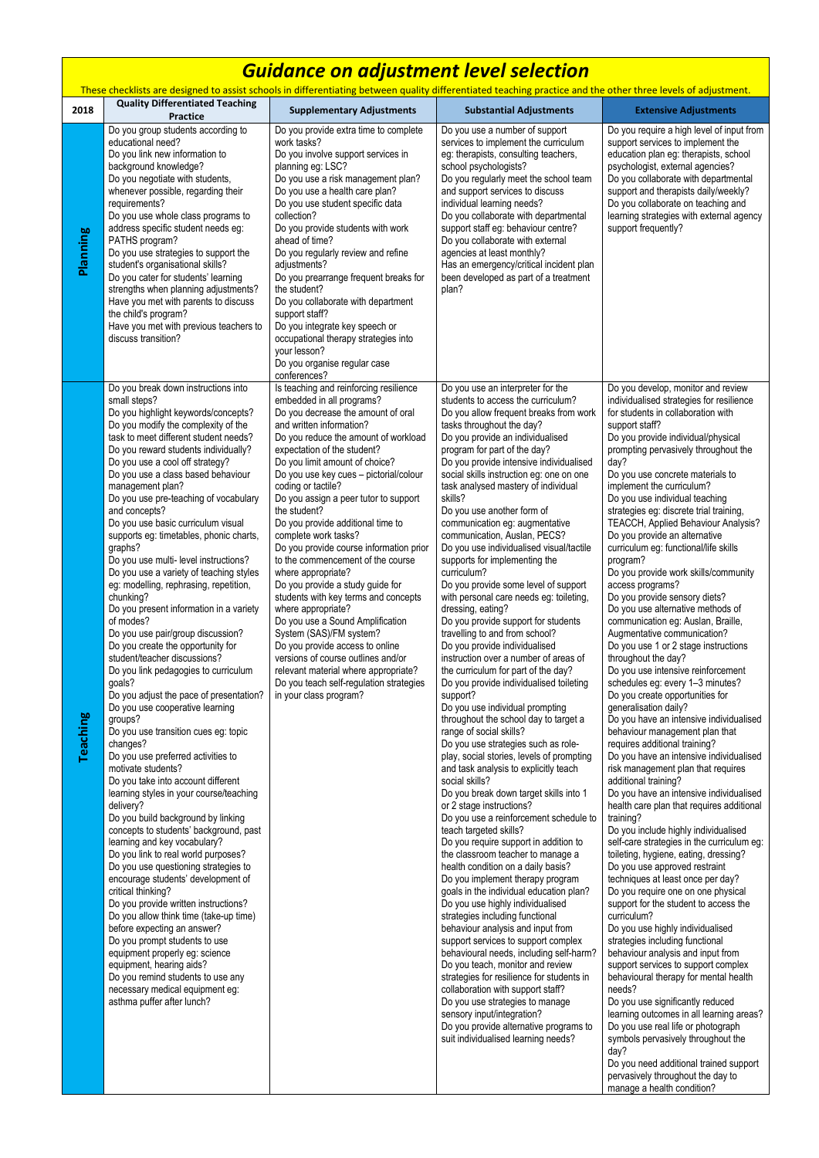encourage students' development of critical thinking? Do you provide written instructions? Do you allow think time (take-up time) before expecting an answer? Do you prompt students to use equipment properly eg: science equipment, hearing aids? Do you remind students to use any necessary medical equipment eg: asthma puffer after lunch?

| <b>Guidance on adjustment level selection</b>                                                                                                                 |                                                                                                                                                                                                                                                                                                                                                                                                                                                                                                                                                                                                                                                                                                                                                                                                                                                                                                                                                                                                                                                                                                                                                                                                                                                                                                                                            |                                                                                                                                                                                                                                                                                                                                                                                                                                                                                                                                                                                                                                                                                                                                                                                                                                                                                                   |                                                                                                                                                                                                                                                                                                                                                                                                                                                                                                                                                                                                                                                                                                                                                                                                                                                                                                                                                                                                                                                                                                                                                                                                                                                                                                                                                                                                                                      |                                                                                                                                                                                                                                                                                                                                                                                                                                                                                                                                                                                                                                                                                                                                                                                                                                                                                                                                                                                                                                                                                                                                                                                                                                                                                                                                                                                                                        |  |  |  |
|---------------------------------------------------------------------------------------------------------------------------------------------------------------|--------------------------------------------------------------------------------------------------------------------------------------------------------------------------------------------------------------------------------------------------------------------------------------------------------------------------------------------------------------------------------------------------------------------------------------------------------------------------------------------------------------------------------------------------------------------------------------------------------------------------------------------------------------------------------------------------------------------------------------------------------------------------------------------------------------------------------------------------------------------------------------------------------------------------------------------------------------------------------------------------------------------------------------------------------------------------------------------------------------------------------------------------------------------------------------------------------------------------------------------------------------------------------------------------------------------------------------------|---------------------------------------------------------------------------------------------------------------------------------------------------------------------------------------------------------------------------------------------------------------------------------------------------------------------------------------------------------------------------------------------------------------------------------------------------------------------------------------------------------------------------------------------------------------------------------------------------------------------------------------------------------------------------------------------------------------------------------------------------------------------------------------------------------------------------------------------------------------------------------------------------|--------------------------------------------------------------------------------------------------------------------------------------------------------------------------------------------------------------------------------------------------------------------------------------------------------------------------------------------------------------------------------------------------------------------------------------------------------------------------------------------------------------------------------------------------------------------------------------------------------------------------------------------------------------------------------------------------------------------------------------------------------------------------------------------------------------------------------------------------------------------------------------------------------------------------------------------------------------------------------------------------------------------------------------------------------------------------------------------------------------------------------------------------------------------------------------------------------------------------------------------------------------------------------------------------------------------------------------------------------------------------------------------------------------------------------------|------------------------------------------------------------------------------------------------------------------------------------------------------------------------------------------------------------------------------------------------------------------------------------------------------------------------------------------------------------------------------------------------------------------------------------------------------------------------------------------------------------------------------------------------------------------------------------------------------------------------------------------------------------------------------------------------------------------------------------------------------------------------------------------------------------------------------------------------------------------------------------------------------------------------------------------------------------------------------------------------------------------------------------------------------------------------------------------------------------------------------------------------------------------------------------------------------------------------------------------------------------------------------------------------------------------------------------------------------------------------------------------------------------------------|--|--|--|
| These checklists are designed to assist schools in differentiating between quality differentiated teaching practice and the other three levels of adjustment. |                                                                                                                                                                                                                                                                                                                                                                                                                                                                                                                                                                                                                                                                                                                                                                                                                                                                                                                                                                                                                                                                                                                                                                                                                                                                                                                                            |                                                                                                                                                                                                                                                                                                                                                                                                                                                                                                                                                                                                                                                                                                                                                                                                                                                                                                   |                                                                                                                                                                                                                                                                                                                                                                                                                                                                                                                                                                                                                                                                                                                                                                                                                                                                                                                                                                                                                                                                                                                                                                                                                                                                                                                                                                                                                                      |                                                                                                                                                                                                                                                                                                                                                                                                                                                                                                                                                                                                                                                                                                                                                                                                                                                                                                                                                                                                                                                                                                                                                                                                                                                                                                                                                                                                                        |  |  |  |
| 2018                                                                                                                                                          | <b>Quality Differentiated Teaching</b><br><b>Practice</b>                                                                                                                                                                                                                                                                                                                                                                                                                                                                                                                                                                                                                                                                                                                                                                                                                                                                                                                                                                                                                                                                                                                                                                                                                                                                                  | <b>Supplementary Adjustments</b>                                                                                                                                                                                                                                                                                                                                                                                                                                                                                                                                                                                                                                                                                                                                                                                                                                                                  | <b>Substantial Adjustments</b>                                                                                                                                                                                                                                                                                                                                                                                                                                                                                                                                                                                                                                                                                                                                                                                                                                                                                                                                                                                                                                                                                                                                                                                                                                                                                                                                                                                                       | <b>Extensive Adjustments</b>                                                                                                                                                                                                                                                                                                                                                                                                                                                                                                                                                                                                                                                                                                                                                                                                                                                                                                                                                                                                                                                                                                                                                                                                                                                                                                                                                                                           |  |  |  |
| <b>Planning</b>                                                                                                                                               | Do you group students according to<br>educational need?<br>Do you link new information to<br>background knowledge?<br>Do you negotiate with students,<br>whenever possible, regarding their<br>requirements?<br>Do you use whole class programs to<br>address specific student needs eg:<br>PATHS program?<br>Do you use strategies to support the<br>student's organisational skills?<br>Do you cater for students' learning<br>strengths when planning adjustments?<br>Have you met with parents to discuss<br>the child's program?<br>Have you met with previous teachers to<br>discuss transition?                                                                                                                                                                                                                                                                                                                                                                                                                                                                                                                                                                                                                                                                                                                                     | Do you provide extra time to complete<br>work tasks?<br>Do you involve support services in<br>planning eg: LSC?<br>Do you use a risk management plan?<br>Do you use a health care plan?<br>Do you use student specific data<br>collection?<br>Do you provide students with work<br>ahead of time?<br>Do you regularly review and refine<br>adjustments?<br>Do you prearrange frequent breaks for<br>the student?<br>Do you collaborate with department<br>support staff?<br>Do you integrate key speech or<br>occupational therapy strategies into<br>your lesson?<br>Do you organise regular case<br>conferences?                                                                                                                                                                                                                                                                                | Do you use a number of support<br>services to implement the curriculum<br>eg: therapists, consulting teachers,<br>school psychologists?<br>Do you regularly meet the school team<br>and support services to discuss<br>individual learning needs?<br>Do you collaborate with departmental<br>support staff eg: behaviour centre?<br>Do you collaborate with external<br>agencies at least monthly?<br>Has an emergency/critical incident plan<br>been developed as part of a treatment<br>plan?                                                                                                                                                                                                                                                                                                                                                                                                                                                                                                                                                                                                                                                                                                                                                                                                                                                                                                                                      | Do you require a high level of input from<br>support services to implement the<br>education plan eg: therapists, school<br>psychologist, external agencies?<br>Do you collaborate with departmental<br>support and therapists daily/weekly?<br>Do you collaborate on teaching and<br>learning strategies with external agency<br>support frequently?                                                                                                                                                                                                                                                                                                                                                                                                                                                                                                                                                                                                                                                                                                                                                                                                                                                                                                                                                                                                                                                                   |  |  |  |
| <b>Teaching</b>                                                                                                                                               | Do you break down instructions into<br>small steps?<br>Do you highlight keywords/concepts?<br>Do you modify the complexity of the<br>task to meet different student needs?<br>Do you reward students individually?<br>Do you use a cool off strategy?<br>Do you use a class based behaviour<br>management plan?<br>Do you use pre-teaching of vocabulary<br>and concepts?<br>Do you use basic curriculum visual<br>supports eg: timetables, phonic charts,<br>graphs?<br>Do you use multi- level instructions?<br>Do you use a variety of teaching styles<br>eg: modelling, rephrasing, repetition,<br>chunking?<br>Do you present information in a variety<br>of modes?<br>Do you use pair/group discussion?<br>Do you create the opportunity for<br>student/teacher discussions?<br>Do you link pedagogies to curriculum<br>goals?<br>Do you adjust the pace of presentation?<br>Do you use cooperative learning<br>groups?<br>Do you use transition cues eg: topic<br>changes?<br>Do you use preferred activities to<br>motivate students?<br>Do you take into account different<br>learning styles in your course/teaching<br>delivery?<br>Do you build background by linking<br>concepts to students' background, past<br>learning and key vocabulary?<br>Do you link to real world purposes?<br>Do you use questioning strategies to | Is teaching and reinforcing resilience<br>embedded in all programs?<br>Do you decrease the amount of oral<br>and written information?<br>Do you reduce the amount of workload<br>expectation of the student?<br>Do you limit amount of choice?<br>Do you use key cues - pictorial/colour<br>coding or tactile?<br>Do you assign a peer tutor to support<br>the student?<br>Do you provide additional time to<br>complete work tasks?<br>Do you provide course information prior<br>to the commencement of the course<br>where appropriate?<br>Do you provide a study guide for<br>students with key terms and concepts<br>where appropriate?<br>Do you use a Sound Amplification<br>System (SAS)/FM system?<br>Do you provide access to online<br>versions of course outlines and/or<br>relevant material where appropriate?<br>Do you teach self-regulation strategies<br>in your class program? | Do you use an interpreter for the<br>students to access the curriculum?<br>Do you allow frequent breaks from work<br>tasks throughout the day?<br>Do you provide an individualised<br>program for part of the day?<br>Do you provide intensive individualised<br>social skills instruction eg: one on one<br>task analysed mastery of individual<br>skills?<br>Do you use another form of<br>communication eg: augmentative<br>communication, Auslan, PECS?<br>Do you use individualised visual/tactile<br>supports for implementing the<br>curriculum?<br>Do you provide some level of support<br>with personal care needs eg: toileting,<br>dressing, eating?<br>Do you provide support for students<br>travelling to and from school?<br>Do you provide individualised<br>instruction over a number of areas of<br>the curriculum for part of the day?<br>Do you provide individualised toileting<br>support?<br>Do you use individual prompting<br>throughout the school day to target a<br>range of social skills?<br>Do you use strategies such as role-<br>play, social stories, levels of prompting<br>and task analysis to explicitly teach<br>social skills?<br>Do you break down target skills into 1<br>or 2 stage instructions?<br>Do you use a reinforcement schedule to<br>teach targeted skills?<br>Do you require support in addition to<br>the classroom teacher to manage a<br>health condition on a daily basis? | Do you develop, monitor and review<br>individualised strategies for resilience<br>for students in collaboration with<br>support staff?<br>Do you provide individual/physical<br>prompting pervasively throughout the<br>day?<br>Do you use concrete materials to<br>implement the curriculum?<br>Do you use individual teaching<br>strategies eg: discrete trial training,<br><b>TEACCH, Applied Behaviour Analysis?</b><br>Do you provide an alternative<br>curriculum eg: functional/life skills<br>program?<br>Do you provide work skills/community<br>access programs?<br>Do you provide sensory diets?<br>Do you use alternative methods of<br>communication eg: Auslan, Braille,<br>Augmentative communication?<br>Do you use 1 or 2 stage instructions<br>throughout the day?<br>Do you use intensive reinforcement<br>schedules eg: every 1-3 minutes?<br>Do you create opportunities for<br>generalisation daily?<br>Do you have an intensive individualised<br>behaviour management plan that<br>requires additional training?<br>Do you have an intensive individualised<br>risk management plan that requires<br>additional training?<br>Do you have an intensive individualised<br>health care plan that requires additional<br>training?<br>Do you include highly individualised<br>self-care strategies in the curriculum eg:<br>toileting, hygiene, eating, dressing?<br>Do you use approved restraint |  |  |  |

Do you implement therapy program goals in the individual education plan? Do you use highly individualised strategies including functional behaviour analysis and input from support services to support complex behavioural needs, including self-harm? Do you teach, monitor and review strategies for resilience for students in collaboration with support staff? Do you use strategies to manage sensory input/integration? Do you provide alternative programs to suit individualised learning needs?

techniques at least once per day? Do you require one on one physical support for the student to access the curriculum?

Do you use highly individualised strategies including functional behaviour analysis and input from support services to support complex behavioural therapy for mental health needs?

Do you use significantly reduced learning outcomes in all learning areas? Do you use real life or photograph symbols pervasively throughout the day?

Do you need additional trained support pervasively throughout the day to manage a health condition?